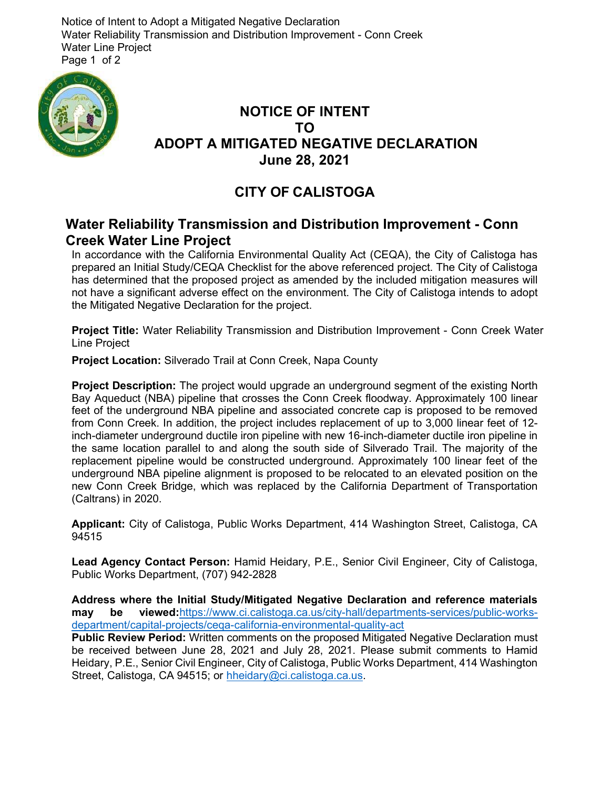Notice of Intent to Adopt a Mitigated Negative Declaration Water Reliability Transmission and Distribution Improvement - Conn Creek Water Line Project Page 1 of 2



## NOTICE OF INTENT TO ADOPT A MITIGATED NEGATIVE DECLARATION June 28, 2021

## CITY OF CALISTOGA

## Water Reliability Transmission and Distribution Improvement - Conn Creek Water Line Project

In accordance with the California Environmental Quality Act (CEQA), the City of Calistoga has prepared an Initial Study/CEQA Checklist for the above referenced project. The City of Calistoga has determined that the proposed project as amended by the included mitigation measures will not have a significant adverse effect on the environment. The City of Calistoga intends to adopt the Mitigated Negative Declaration for the project.

Project Title: Water Reliability Transmission and Distribution Improvement - Conn Creek Water Line Project

Project Location: Silverado Trail at Conn Creek, Napa County

Project Description: The project would upgrade an underground segment of the existing North Bay Aqueduct (NBA) pipeline that crosses the Conn Creek floodway. Approximately 100 linear feet of the underground NBA pipeline and associated concrete cap is proposed to be removed from Conn Creek. In addition, the project includes replacement of up to 3,000 linear feet of 12 inch-diameter underground ductile iron pipeline with new 16-inch-diameter ductile iron pipeline in the same location parallel to and along the south side of Silverado Trail. The majority of the replacement pipeline would be constructed underground. Approximately 100 linear feet of the underground NBA pipeline alignment is proposed to be relocated to an elevated position on the new Conn Creek Bridge, which was replaced by the California Department of Transportation (Caltrans) in 2020.

Applicant: City of Calistoga, Public Works Department, 414 Washington Street, Calistoga, CA 94515

Lead Agency Contact Person: Hamid Heidary, P.E., Senior Civil Engineer, City of Calistoga, Public Works Department, (707) 942-2828

Address where the Initial Study/Mitigated Negative Declaration and reference materials may be viewed:https://www.ci.calistoga.ca.us/city-hall/departments-services/public-worksdepartment/capital-projects/ceqa-california-environmental-quality-act

Public Review Period: Written comments on the proposed Mitigated Negative Declaration must be received between June 28, 2021 and July 28, 2021. Please submit comments to Hamid Heidary, P.E., Senior Civil Engineer, City of Calistoga, Public Works Department, 414 Washington Street, Calistoga, CA 94515; or hheidary@ci.calistoga.ca.us.